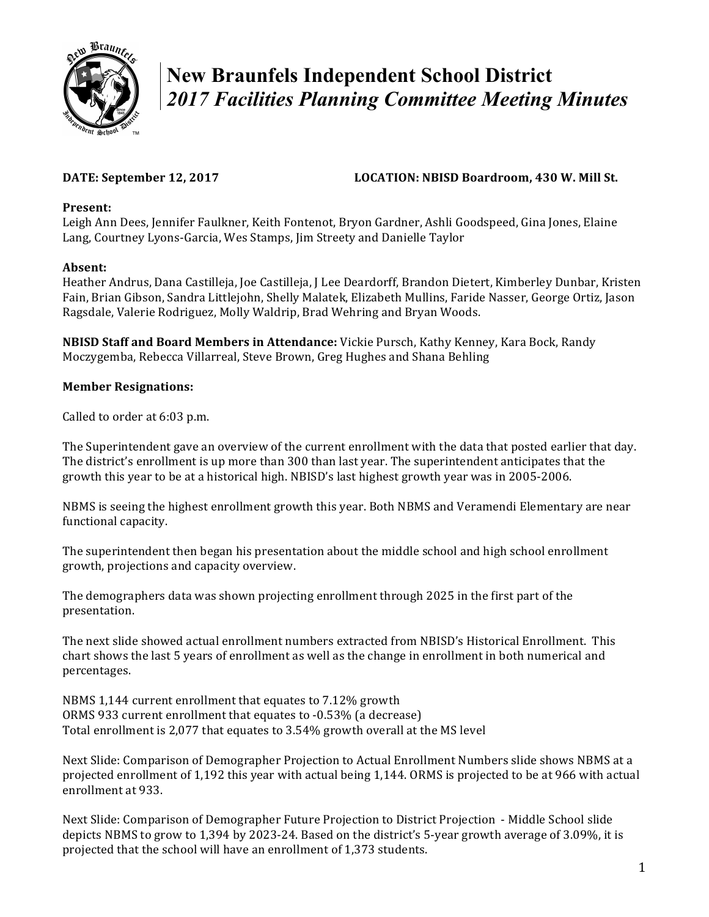

# **New Braunfels Independent School District**  *2017 Facilities Planning Committee Meeting Minutes*

# **DATE:** September 12, 2017 **LOCATION:** NBISD Boardroom, 430 W. Mill St.

#### Present:

Leigh Ann Dees, Jennifer Faulkner, Keith Fontenot, Bryon Gardner, Ashli Goodspeed, Gina Jones, Elaine Lang, Courtney Lyons-Garcia, Wes Stamps, Jim Streety and Danielle Taylor

### **Absent:**

Heather Andrus, Dana Castilleja, Joe Castilleja, J Lee Deardorff, Brandon Dietert, Kimberley Dunbar, Kristen Fain, Brian Gibson, Sandra Littlejohn, Shelly Malatek, Elizabeth Mullins, Faride Nasser, George Ortiz, Jason Ragsdale, Valerie Rodriguez, Molly Waldrip, Brad Wehring and Bryan Woods.

**NBISD Staff and Board Members in Attendance:** Vickie Pursch, Kathy Kenney, Kara Bock, Randy Moczygemba, Rebecca Villarreal, Steve Brown, Greg Hughes and Shana Behling

### **Member Resignations:**

Called to order at 6:03 p.m.

The Superintendent gave an overview of the current enrollment with the data that posted earlier that day. The district's enrollment is up more than 300 than last year. The superintendent anticipates that the growth this year to be at a historical high. NBISD's last highest growth year was in 2005-2006.

NBMS is seeing the highest enrollment growth this year. Both NBMS and Veramendi Elementary are near functional capacity.

The superintendent then began his presentation about the middle school and high school enrollment growth, projections and capacity overview.

The demographers data was shown projecting enrollment through 2025 in the first part of the presentation.

The next slide showed actual enrollment numbers extracted from NBISD's Historical Enrollment. This chart shows the last 5 years of enrollment as well as the change in enrollment in both numerical and percentages.

NBMS 1,144 current enrollment that equates to 7.12% growth ORMS 933 current enrollment that equates to -0.53% (a decrease) Total enrollment is 2,077 that equates to 3.54% growth overall at the MS level

Next Slide: Comparison of Demographer Projection to Actual Enrollment Numbers slide shows NBMS at a projected enrollment of 1,192 this year with actual being 1,144. ORMS is projected to be at 966 with actual enrollment at 933.

Next Slide: Comparison of Demographer Future Projection to District Projection - Middle School slide depicts NBMS to grow to 1,394 by 2023-24. Based on the district's 5-year growth average of 3.09%, it is projected that the school will have an enrollment of 1,373 students.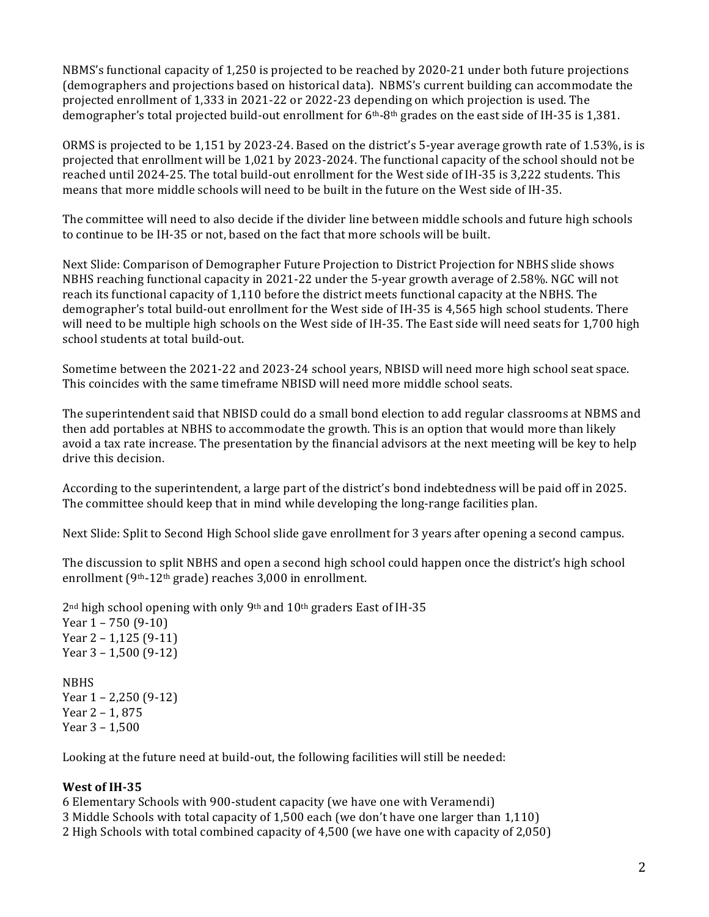NBMS's functional capacity of 1,250 is projected to be reached by 2020-21 under both future projections (demographers and projections based on historical data). NBMS's current building can accommodate the projected enrollment of 1,333 in 2021-22 or 2022-23 depending on which projection is used. The demographer's total projected build-out enrollment for  $6<sup>th</sup>-8<sup>th</sup>$  grades on the east side of IH-35 is 1,381.

ORMS is projected to be 1,151 by 2023-24. Based on the district's 5-year average growth rate of 1.53%, is is projected that enrollment will be 1,021 by 2023-2024. The functional capacity of the school should not be reached until 2024-25. The total build-out enrollment for the West side of IH-35 is 3,222 students. This means that more middle schools will need to be built in the future on the West side of IH-35.

The committee will need to also decide if the divider line between middle schools and future high schools to continue to be IH-35 or not, based on the fact that more schools will be built.

Next Slide: Comparison of Demographer Future Projection to District Projection for NBHS slide shows NBHS reaching functional capacity in 2021-22 under the 5-year growth average of 2.58%. NGC will not reach its functional capacity of 1,110 before the district meets functional capacity at the NBHS. The demographer's total build-out enrollment for the West side of IH-35 is 4,565 high school students. There will need to be multiple high schools on the West side of IH-35. The East side will need seats for 1,700 high school students at total build-out.

Sometime between the 2021-22 and 2023-24 school years, NBISD will need more high school seat space. This coincides with the same timeframe NBISD will need more middle school seats.

The superintendent said that NBISD could do a small bond election to add regular classrooms at NBMS and then add portables at NBHS to accommodate the growth. This is an option that would more than likely avoid a tax rate increase. The presentation by the financial advisors at the next meeting will be key to help drive this decision.

According to the superintendent, a large part of the district's bond indebtedness will be paid off in 2025. The committee should keep that in mind while developing the long-range facilities plan.

Next Slide: Split to Second High School slide gave enrollment for 3 years after opening a second campus.

The discussion to split NBHS and open a second high school could happen once the district's high school enrollment  $(9<sup>th-12<sup>th</sup></sup>$  grade) reaches 3,000 in enrollment.

 $2<sup>nd</sup>$  high school opening with only  $9<sup>th</sup>$  and  $10<sup>th</sup>$  graders East of IH-35 Year  $1 - 750$  (9-10) Year  $2 - 1,125$  (9-11) Year  $3 - 1,500$  (9-12) NBHS

Year  $1 - 2,250$  (9-12) Year  $2 - 1, 875$ Year  $3 - 1,500$ 

Looking at the future need at build-out, the following facilities will still be needed:

### West of IH-35

6 Elementary Schools with 900-student capacity (we have one with Veramendi)

- 3 Middle Schools with total capacity of 1,500 each (we don't have one larger than 1,110)
- 2 High Schools with total combined capacity of 4,500 (we have one with capacity of 2,050)